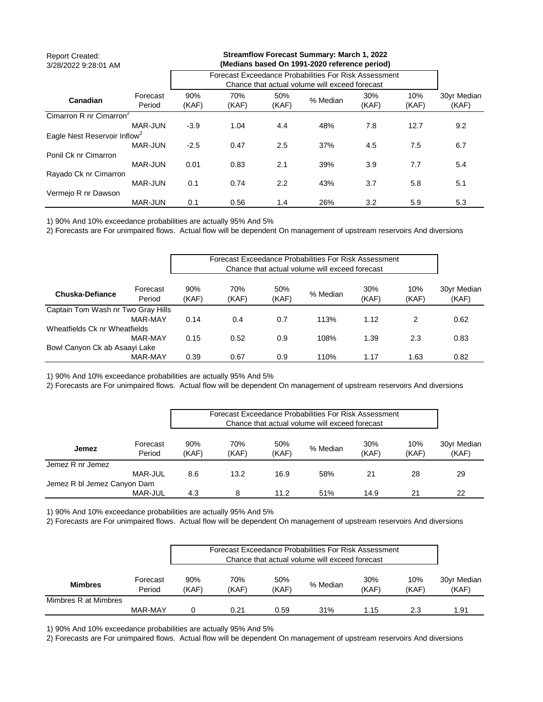| <b>Report Created:</b><br>3/28/2022 9:28:01 AM |                    |                                                       | <b>Streamflow Forecast Summary: March 1, 2022</b><br>(Medians based On 1991-2020 reference period) |              |                                                |              |              |                                                  |
|------------------------------------------------|--------------------|-------------------------------------------------------|----------------------------------------------------------------------------------------------------|--------------|------------------------------------------------|--------------|--------------|--------------------------------------------------|
|                                                |                    | Forecast Exceedance Probabilities For Risk Assessment |                                                                                                    |              |                                                |              |              |                                                  |
|                                                |                    |                                                       |                                                                                                    |              | Chance that actual volume will exceed forecast |              |              | 30yr Median<br>(KAF)<br>9.2<br>6.7<br>5.4<br>5.1 |
| Canadian                                       | Forecast<br>Period | 90%<br>(KAF)                                          | 70%<br>(KAF)                                                                                       | 50%<br>(KAF) | % Median                                       | 30%<br>(KAF) | 10%<br>(KAF) |                                                  |
| Cimarron R nr Cimarron <sup>2</sup>            |                    |                                                       |                                                                                                    |              |                                                |              |              |                                                  |
|                                                | MAR-JUN            | $-3.9$                                                | 1.04                                                                                               | 4.4          | 48%                                            | 7.8          | 12.7         |                                                  |
| Eagle Nest Reservoir Inflow <sup>2</sup>       |                    |                                                       |                                                                                                    |              |                                                |              |              |                                                  |
|                                                | MAR-JUN            | $-2.5$                                                | 0.47                                                                                               | 2.5          | 37%                                            | 4.5          | 7.5          |                                                  |
| Ponil Ck nr Cimarron                           |                    |                                                       |                                                                                                    |              |                                                |              |              |                                                  |
|                                                | MAR-JUN            | 0.01                                                  | 0.83                                                                                               | 2.1          | 39%                                            | 3.9          | 7.7          |                                                  |
| Rayado Ck nr Cimarron                          |                    |                                                       |                                                                                                    |              |                                                |              |              |                                                  |
|                                                | MAR-JUN            | 0.1                                                   | 0.74                                                                                               | 2.2          | 43%                                            | 3.7          | 5.8          |                                                  |
| Vermejo R nr Dawson                            |                    |                                                       |                                                                                                    |              |                                                |              |              |                                                  |
|                                                | MAR-JUN            | 0.1                                                   | 0.56                                                                                               | 1.4          | 26%                                            | 3.2          | 5.9          | 5.3                                              |

2) Forecasts are For unimpaired flows. Actual flow will be dependent On management of upstream reservoirs And diversions

|                                    |                    |              |              |              | Forecast Exceedance Probabilities For Risk Assessment<br>Chance that actual volume will exceed forecast |              |              |                      |  |
|------------------------------------|--------------------|--------------|--------------|--------------|---------------------------------------------------------------------------------------------------------|--------------|--------------|----------------------|--|
| <b>Chuska-Defiance</b>             | Forecast<br>Period | 90%<br>(KAF) | 70%<br>(KAF) | 50%<br>(KAF) | % Median                                                                                                | 30%<br>(KAF) | 10%<br>(KAF) | 30yr Median<br>(KAF) |  |
| Captain Tom Wash nr Two Gray Hills |                    |              |              |              |                                                                                                         |              |              |                      |  |
|                                    | MAR-MAY            | 0.14         | 0.4          | 0.7          | 113%                                                                                                    | 1.12         | 2            | 0.62                 |  |
| Wheatfields Ck nr Wheatfields      |                    |              |              |              |                                                                                                         |              |              |                      |  |
|                                    | MAR-MAY            | 0.15         | 0.52         | 0.9          | 108%                                                                                                    | 1.39         | 2.3          | 0.83                 |  |
| Bowl Canyon Ck ab Asaayi Lake      |                    |              |              |              |                                                                                                         |              |              |                      |  |
|                                    | MAR-MAY            | 0.39         | 0.67         | 0.9          | 110%                                                                                                    | 1.17         | 1.63         | 0.82                 |  |

1) 90% And 10% exceedance probabilities are actually 95% And 5%

2) Forecasts are For unimpaired flows. Actual flow will be dependent On management of upstream reservoirs And diversions

|                             |                    |              |              |              | Forecast Exceedance Probabilities For Risk Assessment<br>Chance that actual volume will exceed forecast |                     |              |                      |
|-----------------------------|--------------------|--------------|--------------|--------------|---------------------------------------------------------------------------------------------------------|---------------------|--------------|----------------------|
| <b>Jemez</b>                | Forecast<br>Period | 90%<br>(KAF) | 70%<br>(KAF) | 50%<br>(KAF) | % Median                                                                                                | <b>30%</b><br>(KAF) | 10%<br>(KAF) | 30yr Median<br>(KAF) |
| Jemez R nr Jemez            |                    |              |              |              |                                                                                                         |                     |              |                      |
|                             | MAR-JUL            | 8.6          | 13.2         | 16.9         | 58%                                                                                                     | 21                  | 28           | 29                   |
| Jemez R bl Jemez Canyon Dam |                    |              |              |              |                                                                                                         |                     |              |                      |
|                             | MAR-JUL            | 4.3          | 8            | 11.2         | 51%                                                                                                     | 14.9                | 21           | 22                   |

1) 90% And 10% exceedance probabilities are actually 95% And 5%

2) Forecasts are For unimpaired flows. Actual flow will be dependent On management of upstream reservoirs And diversions

|                      |                    | Forecast Exceedance Probabilities For Risk Assessment<br>Chance that actual volume will exceed forecast |              |              |          |              |              |                      |
|----------------------|--------------------|---------------------------------------------------------------------------------------------------------|--------------|--------------|----------|--------------|--------------|----------------------|
| <b>Mimbres</b>       | Forecast<br>Period | 90%<br>(KAF)                                                                                            | 70%<br>(KAF) | 50%<br>(KAF) | % Median | 30%<br>(KAF) | 10%<br>(KAF) | 30yr Median<br>(KAF) |
| Mimbres R at Mimbres |                    |                                                                                                         |              |              |          |              |              |                      |
|                      | MAR-MAY            |                                                                                                         | 0.21         | 0.59         | 31%      | 1.15         | 2.3          | 1.91                 |

1) 90% And 10% exceedance probabilities are actually 95% And 5%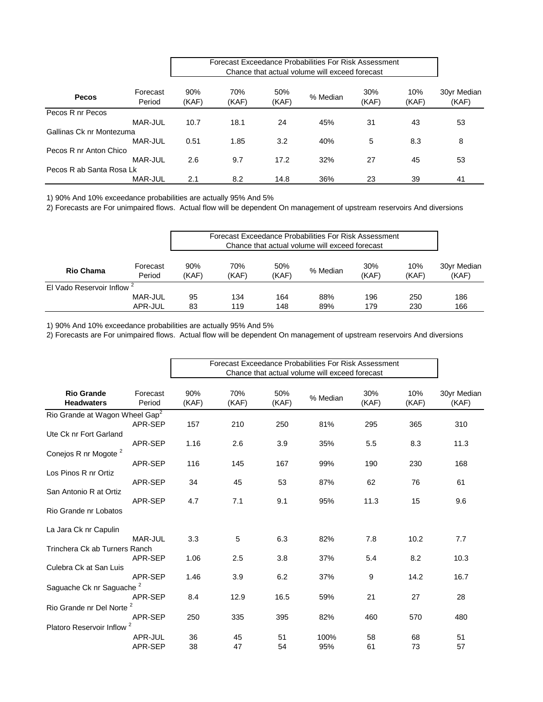|                          |                    | Forecast Exceedance Probabilities For Risk Assessment<br>Chance that actual volume will exceed forecast |              |              |          |              |              |                      |
|--------------------------|--------------------|---------------------------------------------------------------------------------------------------------|--------------|--------------|----------|--------------|--------------|----------------------|
| <b>Pecos</b>             | Forecast<br>Period | 90%<br>(KAF)                                                                                            | 70%<br>(KAF) | 50%<br>(KAF) | % Median | 30%<br>(KAF) | 10%<br>(KAF) | 30yr Median<br>(KAF) |
| Pecos R nr Pecos         |                    |                                                                                                         |              |              |          |              |              |                      |
|                          | MAR-JUL            | 10.7                                                                                                    | 18.1         | 24           | 45%      | 31           | 43           | 53                   |
| Gallinas Ck nr Montezuma |                    |                                                                                                         |              |              |          |              |              |                      |
|                          | MAR-JUL            | 0.51                                                                                                    | 1.85         | 3.2          | 40%      | 5            | 8.3          | 8                    |
| Pecos R nr Anton Chico   |                    |                                                                                                         |              |              |          |              |              |                      |
|                          | MAR-JUL            | 2.6                                                                                                     | 9.7          | 17.2         | 32%      | 27           | 45           | 53                   |
| Pecos R ab Santa Rosa Lk |                    |                                                                                                         |              |              |          |              |              |                      |
|                          | <b>MAR-JUL</b>     | 2.1                                                                                                     | 8.2          | 14.8         | 36%      | 23           | 39           | 41                   |

2) Forecasts are For unimpaired flows. Actual flow will be dependent On management of upstream reservoirs And diversions

|                                       |                    | Forecast Exceedance Probabilities For Risk Assessment |              |              |          |                     |              |                      |
|---------------------------------------|--------------------|-------------------------------------------------------|--------------|--------------|----------|---------------------|--------------|----------------------|
| <b>Rio Chama</b>                      | Forecast<br>Period | 90%<br>(KAF)                                          | 70%<br>(KAF) | 50%<br>(KAF) | % Median | <b>30%</b><br>(KAF) | 10%<br>(KAF) | 30yr Median<br>(KAF) |
| El Vado Reservoir Inflow <sup>2</sup> |                    |                                                       |              |              |          |                     |              |                      |
|                                       | MAR-JUL            | 95                                                    | 134          | 164          | 88%      | 196                 | 250          | 186                  |
|                                       | APR-JUL            | 83                                                    | 119          | 148          | 89%      | 179                 | 230          | 166                  |

1) 90% And 10% exceedance probabilities are actually 95% And 5%

|                                            | Forecast<br>Period |              |              |              | Forecast Exceedance Probabilities For Risk Assessment<br>Chance that actual volume will exceed forecast |              |              |                      |
|--------------------------------------------|--------------------|--------------|--------------|--------------|---------------------------------------------------------------------------------------------------------|--------------|--------------|----------------------|
| <b>Rio Grande</b><br><b>Headwaters</b>     |                    | 90%<br>(KAF) | 70%<br>(KAF) | 50%<br>(KAF) | % Median                                                                                                | 30%<br>(KAF) | 10%<br>(KAF) | 30yr Median<br>(KAF) |
| Rio Grande at Wagon Wheel Gap <sup>2</sup> |                    |              |              |              |                                                                                                         |              |              |                      |
|                                            | APR-SEP            | 157          | 210          | 250          | 81%                                                                                                     | 295          | 365          | 310                  |
| Ute Ck nr Fort Garland                     |                    |              |              |              |                                                                                                         |              |              |                      |
|                                            | APR-SEP            | 1.16         | 2.6          | 3.9          | 35%                                                                                                     | 5.5          | 8.3          | 11.3                 |
| Conejos R nr Mogote <sup>2</sup>           |                    |              |              |              |                                                                                                         |              |              |                      |
|                                            | APR-SEP            | 116          | 145          | 167          | 99%                                                                                                     | 190          | 230          | 168                  |
| Los Pinos R nr Ortiz                       |                    |              |              |              |                                                                                                         |              |              |                      |
|                                            | APR-SEP            | 34           | 45           | 53           | 87%                                                                                                     | 62           | 76           | 61                   |
| San Antonio R at Ortiz                     | APR-SEP            | 4.7          | 7.1          | 9.1          | 95%                                                                                                     | 11.3         | 15           | 9.6                  |
| Rio Grande nr Lobatos                      |                    |              |              |              |                                                                                                         |              |              |                      |
| La Jara Ck nr Capulin                      |                    |              |              |              |                                                                                                         |              |              |                      |
|                                            | MAR-JUL            | 3.3          | 5            | 6.3          | 82%                                                                                                     | 7.8          | 10.2         | 7.7                  |
| Trinchera Ck ab Turners Ranch              |                    |              |              |              |                                                                                                         |              |              |                      |
|                                            | APR-SEP            | 1.06         | 2.5          | 3.8          | 37%                                                                                                     | 5.4          | 8.2          | 10.3                 |
| Culebra Ck at San Luis                     |                    |              |              |              |                                                                                                         |              |              |                      |
|                                            | APR-SEP            | 1.46         | 3.9          | 6.2          | 37%                                                                                                     | 9            | 14.2         | 16.7                 |
| Saguache Ck nr Saguache <sup>2</sup>       |                    |              |              |              |                                                                                                         |              |              |                      |
|                                            | APR-SEP            | 8.4          | 12.9         | 16.5         | 59%                                                                                                     | 21           | 27           | 28                   |
| Rio Grande nr Del Norte                    |                    |              |              |              |                                                                                                         |              |              |                      |
|                                            | APR-SEP            | 250          | 335          | 395          | 82%                                                                                                     | 460          | 570          | 480                  |
| Platoro Reservoir Inflow                   | 2                  |              |              |              |                                                                                                         |              |              |                      |
|                                            | APR-JUL            | 36           | 45           | 51           | 100%                                                                                                    | 58           | 68           | 51                   |
|                                            | APR-SEP            | 38           | 47           | 54           | 95%                                                                                                     | 61           | 73           | 57                   |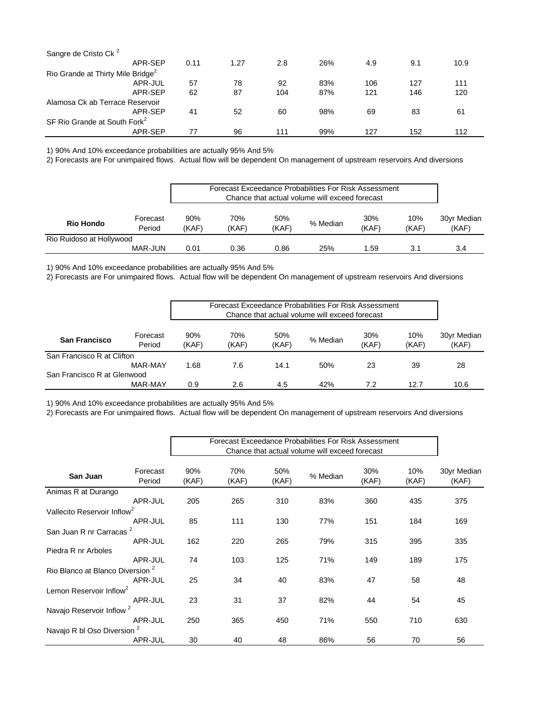| Sangre de Cristo Ck <sup>2</sup>              |         |      |      |     |     |     |     |      |
|-----------------------------------------------|---------|------|------|-----|-----|-----|-----|------|
|                                               | APR-SEP | 0.11 | 1.27 | 2.8 | 26% | 4.9 | 9.1 | 10.9 |
| Rio Grande at Thirty Mile Bridge <sup>2</sup> |         |      |      |     |     |     |     |      |
|                                               | APR-JUL | 57   | 78   | 92  | 83% | 106 | 127 | 111  |
|                                               | APR-SEP | 62   | 87   | 104 | 87% | 121 | 146 | 120  |
| Alamosa Ck ab Terrace Reservoir               |         |      |      |     |     |     |     |      |
|                                               | APR-SEP | -41  | 52   | 60  | 98% | 69  | 83  | 61   |
| SF Rio Grande at South Fork <sup>2</sup>      |         |      |      |     |     |     |     |      |
|                                               | APR-SEP | 77   | 96   | 111 | 99% | 127 | 152 | 112  |

2) Forecasts are For unimpaired flows. Actual flow will be dependent On management of upstream reservoirs And diversions

|                          |                    | Forecast Exceedance Probabilities For Risk Assessment |              |              |          |              |              |                      |
|--------------------------|--------------------|-------------------------------------------------------|--------------|--------------|----------|--------------|--------------|----------------------|
| <b>Rio Hondo</b>         | Forecast<br>Period | 90%<br>(KAF)                                          | 70%<br>(KAF) | 50%<br>(KAF) | % Median | 30%<br>(KAF) | 10%<br>(KAF) | 30yr Median<br>(KAF) |
| Rio Ruidoso at Hollywood |                    |                                                       |              |              |          |              |              |                      |
|                          | MAR-JUN            | 0.01                                                  | 0.36         | 0.86         | 25%      | . 59         | 3.1          | 3.4                  |

1) 90% And 10% exceedance probabilities are actually 95% And 5%

2) Forecasts are For unimpaired flows. Actual flow will be dependent On management of upstream reservoirs And diversions

|                             |                    |              |              |              | Forecast Exceedance Probabilities For Risk Assessment<br>Chance that actual volume will exceed forecast |              |              |                      |
|-----------------------------|--------------------|--------------|--------------|--------------|---------------------------------------------------------------------------------------------------------|--------------|--------------|----------------------|
| <b>San Francisco</b>        | Forecast<br>Period | 90%<br>(KAF) | 70%<br>(KAF) | 50%<br>(KAF) | % Median                                                                                                | 30%<br>(KAF) | 10%<br>(KAF) | 30yr Median<br>(KAF) |
| San Francisco R at Clifton  |                    |              |              |              |                                                                                                         |              |              |                      |
|                             | MAR-MAY            | 1.68         | 7.6          | 14.1         | 50%                                                                                                     | 23           | 39           | 28                   |
| San Francisco R at Glenwood |                    |              |              |              |                                                                                                         |              |              |                      |
|                             | MAR-MAY            | 0.9          | 2.6          | 4.5          | 42%                                                                                                     | 7.2          | 12.7         | 10.6                 |

1) 90% And 10% exceedance probabilities are actually 95% And 5%

|                                             | Forecast Exceedance Probabilities For Risk Assessment<br>Chance that actual volume will exceed forecast |              |              |              |          |              |              |                      |  |
|---------------------------------------------|---------------------------------------------------------------------------------------------------------|--------------|--------------|--------------|----------|--------------|--------------|----------------------|--|
| San Juan                                    | Forecast<br>Period                                                                                      | 90%<br>(KAF) | 70%<br>(KAF) | 50%<br>(KAF) | % Median | 30%<br>(KAF) | 10%<br>(KAF) | 30yr Median<br>(KAF) |  |
| Animas R at Durango                         |                                                                                                         |              |              |              |          |              |              |                      |  |
|                                             | APR-JUL                                                                                                 | 205          | 265          | 310          | 83%      | 360          | 435          | 375                  |  |
| Vallecito Reservoir Inflow <sup>2</sup>     |                                                                                                         |              |              |              |          |              |              |                      |  |
|                                             | APR-JUL                                                                                                 | 85           | 111          | 130          | 77%      | 151          | 184          | 169                  |  |
| San Juan R nr Carracas <sup>2</sup>         |                                                                                                         |              |              |              |          |              |              |                      |  |
|                                             | APR-JUL                                                                                                 | 162          | 220          | 265          | 79%      | 315          | 395          | 335                  |  |
| Piedra R nr Arboles                         |                                                                                                         |              |              |              |          |              |              |                      |  |
|                                             | APR-JUL                                                                                                 | 74           | 103          | 125          | 71%      | 149          | 189          | 175                  |  |
| Rio Blanco at Blanco Diversion <sup>2</sup> |                                                                                                         |              |              |              |          |              |              |                      |  |
|                                             | APR-JUL                                                                                                 | 25           | 34           | 40           | 83%      | 47           | 58           | 48                   |  |
| Lemon Reservoir Inflow <sup>2</sup>         |                                                                                                         |              |              |              |          |              |              |                      |  |
|                                             | APR-JUL                                                                                                 | 23           | 31           | 37           | 82%      | 44           | 54           | 45                   |  |
| Navajo Reservoir Inflow <sup>2</sup>        |                                                                                                         |              |              |              |          |              |              |                      |  |
|                                             | APR-JUL                                                                                                 | 250          | 365          | 450          | 71%      | 550          | 710          | 630                  |  |
| Navajo R bl Oso Diversion <sup>2</sup>      |                                                                                                         |              |              |              |          |              |              |                      |  |
|                                             | APR-JUL                                                                                                 | 30           | 40           | 48           | 86%      | 56           | 70           | 56                   |  |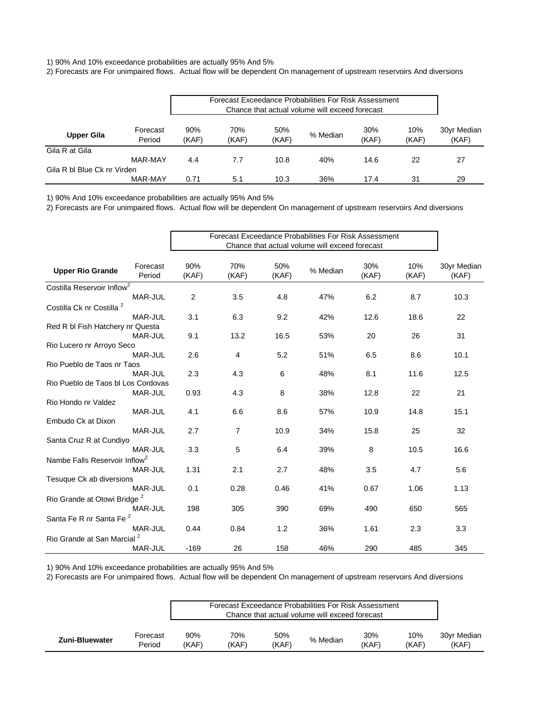2) Forecasts are For unimpaired flows. Actual flow will be dependent On management of upstream reservoirs And diversions

| <b>Upper Gila</b>           |                    |              | Chance that actual volume will exceed forecast | Forecast Exceedance Probabilities For Risk Assessment |          |              |              |                      |
|-----------------------------|--------------------|--------------|------------------------------------------------|-------------------------------------------------------|----------|--------------|--------------|----------------------|
|                             | Forecast<br>Period | 90%<br>(KAF) | 70%<br>(KAF)                                   | 50%<br>(KAF)                                          | % Median | 30%<br>(KAF) | 10%<br>(KAF) | 30yr Median<br>(KAF) |
| Gila R at Gila              |                    |              |                                                |                                                       |          |              |              |                      |
|                             | MAR-MAY            | 4.4          | 7.7                                            | 10.8                                                  | 40%      | 14.6         | 22           | 27                   |
| Gila R bl Blue Ck nr Virden |                    |              |                                                |                                                       |          |              |              |                      |
|                             | MAR-MAY            | 0.71         | 5.1                                            | 10.3                                                  | 36%      | 17.4         | 31           | 29                   |

1) 90% And 10% exceedance probabilities are actually 95% And 5%

2) Forecasts are For unimpaired flows. Actual flow will be dependent On management of upstream reservoirs And diversions

|                                           |                    | Forecast Exceedance Probabilities For Risk Assessment<br>Chance that actual volume will exceed forecast |                |              |          |              |              |                      |
|-------------------------------------------|--------------------|---------------------------------------------------------------------------------------------------------|----------------|--------------|----------|--------------|--------------|----------------------|
| <b>Upper Rio Grande</b>                   | Forecast<br>Period | 90%<br>(KAF)                                                                                            | 70%<br>(KAF)   | 50%<br>(KAF) | % Median | 30%<br>(KAF) | 10%<br>(KAF) | 30yr Median<br>(KAF) |
| Costilla Reservoir Inflow <sup>2</sup>    |                    |                                                                                                         |                |              |          |              |              |                      |
|                                           | MAR-JUL            | $\overline{2}$                                                                                          | 3.5            | 4.8          | 47%      | 6.2          | 8.7          | 10.3                 |
| Costilla Ck nr Costilla                   |                    |                                                                                                         |                |              |          |              |              |                      |
|                                           | MAR-JUL            | 3.1                                                                                                     | 6.3            | 9.2          | 42%      | 12.6         | 18.6         | 22                   |
| Red R bl Fish Hatchery nr Questa          |                    |                                                                                                         |                |              |          |              |              |                      |
|                                           | MAR-JUL            | 9.1                                                                                                     | 13.2           | 16.5         | 53%      | 20           | 26           | 31                   |
| Rio Lucero nr Arroyo Seco                 |                    |                                                                                                         |                |              |          |              |              |                      |
| Rio Pueblo de Taos nr Taos                | MAR-JUL            | 2.6                                                                                                     | 4              | 5.2          | 51%      | 6.5          | 8.6          | 10.1                 |
|                                           | MAR-JUL            | 2.3                                                                                                     | 4.3            | 6            | 48%      | 8.1          | 11.6         | 12.5                 |
| Rio Pueblo de Taos bl Los Cordovas        |                    |                                                                                                         |                |              |          |              |              |                      |
|                                           | MAR-JUL            | 0.93                                                                                                    | 4.3            | 8            | 38%      | 12.8         | 22           | 21                   |
| Rio Hondo nr Valdez                       |                    |                                                                                                         |                |              |          |              |              |                      |
|                                           | MAR-JUL            | 4.1                                                                                                     | 6.6            | 8.6          | 57%      | 10.9         | 14.8         | 15.1                 |
| Embudo Ck at Dixon                        |                    |                                                                                                         |                |              |          |              |              |                      |
|                                           | MAR-JUL            | 2.7                                                                                                     | $\overline{7}$ | 10.9         | 34%      | 15.8         | 25           | 32                   |
| Santa Cruz R at Cundiyo                   |                    |                                                                                                         |                |              |          |              |              |                      |
|                                           | MAR-JUL            | 3.3                                                                                                     | 5              | 6.4          | 39%      | 8            | 10.5         | 16.6                 |
| Nambe Falls Reservoir Inflow <sup>2</sup> |                    |                                                                                                         |                |              |          |              |              |                      |
|                                           | MAR-JUL            | 1.31                                                                                                    | 2.1            | 2.7          | 48%      | 3.5          | 4.7          | 5.6                  |
| Tesuque Ck ab diversions                  |                    |                                                                                                         |                |              |          |              |              |                      |
|                                           | MAR-JUL            | 0.1                                                                                                     | 0.28           | 0.46         | 41%      | 0.67         | 1.06         | 1.13                 |
| Rio Grande at Otowi Bridge <sup>2</sup>   |                    |                                                                                                         |                |              |          |              |              |                      |
|                                           | MAR-JUL            | 198                                                                                                     | 305            | 390          | 69%      | 490          | 650          | 565                  |
| Santa Fe R nr Santa Fe <sup>2</sup>       |                    |                                                                                                         |                |              |          |              |              |                      |
|                                           | MAR-JUL            | 0.44                                                                                                    | 0.84           | 1.2          | 36%      | 1.61         | 2.3          | 3.3                  |
| Rio Grande at San Marcial <sup>2</sup>    |                    |                                                                                                         |                |              |          |              |              |                      |
|                                           | MAR-JUL            | $-169$                                                                                                  | 26             | 158          | 46%      | 290          | 485          | 345                  |

1) 90% And 10% exceedance probabilities are actually 95% And 5%

|                |                    | Forecast Exceedance Probabilities For Risk Assessment<br>Chance that actual volume will exceed forecast |              |              |          |              |              |                      |
|----------------|--------------------|---------------------------------------------------------------------------------------------------------|--------------|--------------|----------|--------------|--------------|----------------------|
| Zuni-Bluewater | Forecast<br>Period | 90%<br>(KAF)                                                                                            | 70%<br>(KAF) | 50%<br>(KAF) | % Median | 30%<br>(KAF) | 10%<br>(KAF) | 30yr Median<br>(KAF) |